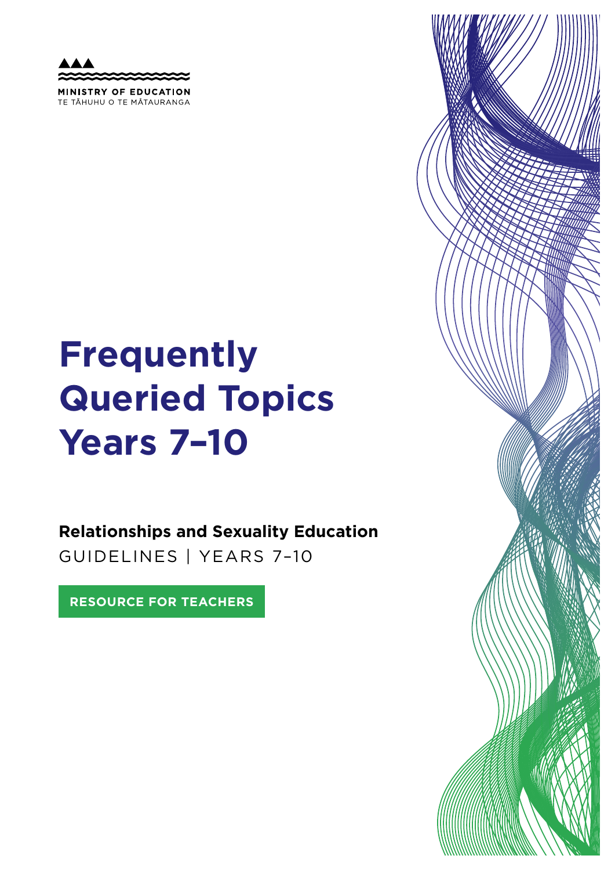MINISTRY OF EDUCATION TE TAHUHU O TE MATAURANGA

# **Frequently Queried Topics Years 7–10**

**Relationships and Sexuality Education**  GUIDELINES | YEARS 7–10

**RESOURCE FOR TEACHERS**

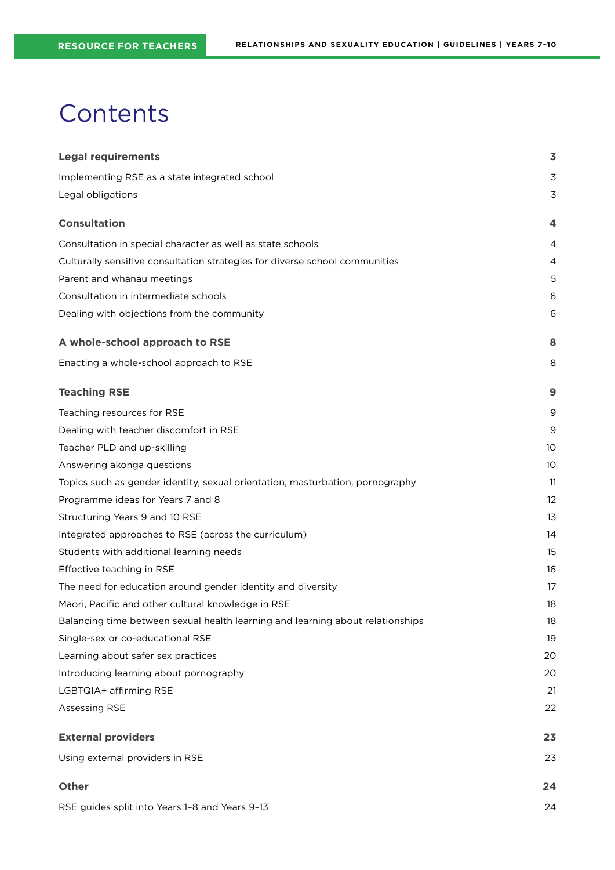## **Contents**

| <b>Legal requirements</b>                                                      | $\overline{\mathbf{3}}$ |
|--------------------------------------------------------------------------------|-------------------------|
| Implementing RSE as a state integrated school                                  | 3                       |
| Legal obligations                                                              | 3                       |
| <b>Consultation</b>                                                            | 4                       |
| Consultation in special character as well as state schools                     | 4                       |
| Culturally sensitive consultation strategies for diverse school communities    | 4                       |
| Parent and whānau meetings                                                     | 5                       |
| Consultation in intermediate schools                                           | 6                       |
| Dealing with objections from the community                                     | 6                       |
| A whole-school approach to RSE                                                 | 8                       |
| Enacting a whole-school approach to RSE                                        | 8                       |
| <b>Teaching RSE</b>                                                            | 9                       |
| Teaching resources for RSE                                                     | 9                       |
| Dealing with teacher discomfort in RSE                                         | 9                       |
| Teacher PLD and up-skilling                                                    | 10                      |
| Answering ākonga questions                                                     | 10                      |
| Topics such as gender identity, sexual orientation, masturbation, pornography  | 11                      |
| Programme ideas for Years 7 and 8                                              | 12                      |
| Structuring Years 9 and 10 RSE                                                 | 13                      |
| Integrated approaches to RSE (across the curriculum)                           | 14                      |
| Students with additional learning needs                                        | 15                      |
| Effective teaching in RSE                                                      | 16                      |
| The need for education around gender identity and diversity                    | 17                      |
| Māori, Pacific and other cultural knowledge in RSE                             | 18                      |
| Balancing time between sexual health learning and learning about relationships | 18                      |
| Single-sex or co-educational RSE                                               | 19                      |
| Learning about safer sex practices                                             | 20                      |
| Introducing learning about pornography                                         | 20                      |
| LGBTQIA+ affirming RSE                                                         | 21                      |
| Assessing RSE                                                                  | 22                      |
| <b>External providers</b>                                                      | 23                      |
| Using external providers in RSE                                                | 23                      |
| Other                                                                          | 24                      |
| RSE guides split into Years 1-8 and Years 9-13                                 | 24                      |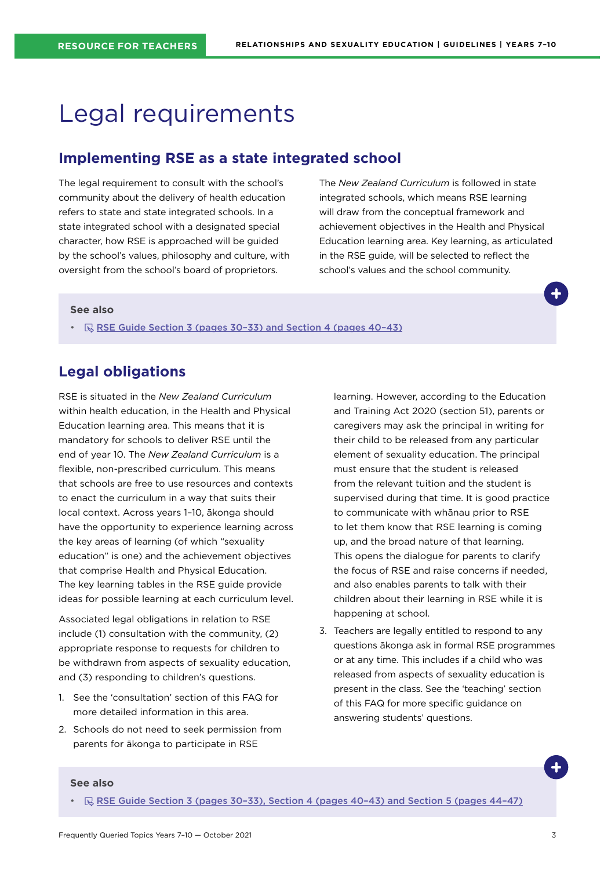## <span id="page-2-0"></span>Legal requirements

### **Implementing RSE as a state integrated school**

The legal requirement to consult with the school's community about the delivery of health education refers to state and state integrated schools. In a state integrated school with a designated special character, how RSE is approached will be guided by the school's values, philosophy and culture, with oversight from the school's board of proprietors.

The *New Zealand Curriculum* is followed in state integrated schools, which means RSE learning will draw from the conceptual framework and achievement objectives in the Health and Physical Education learning area. Key learning, as articulated in the RSE guide, will be selected to reflect the school's values and the school community.

#### **See also**

•  $\quad \qquad \mathbb{R}$  [RSE Guide Section 3 \(pages 30–33\) and Section 4 \(pages 40–43\)](https://hpe.tki.org.nz/guidelines-and-policies/relationships-and-sexuality-education/)

## **Legal obligations**

RSE is situated in the *New Zealand Curriculum* within health education, in the Health and Physical Education learning area. This means that it is mandatory for schools to deliver RSE until the end of year 10. The *New Zealand Curriculum* is a flexible, non-prescribed curriculum. This means that schools are free to use resources and contexts to enact the curriculum in a way that suits their local context. Across years 1–10, ākonga should have the opportunity to experience learning across the key areas of learning (of which "sexuality education" is one) and the achievement objectives that comprise Health and Physical Education. The key learning tables in the RSE guide provide ideas for possible learning at each curriculum level.

Associated legal obligations in relation to RSE include (1) consultation with the community, (2) appropriate response to requests for children to be withdrawn from aspects of sexuality education, and (3) responding to children's questions.

- 1. See the 'consultation' section of this FAQ for more detailed information in this area.
- 2. Schools do not need to seek permission from parents for ākonga to participate in RSE

learning. However, according to the Education and Training Act 2020 (section 51), parents or caregivers may ask the principal in writing for their child to be released from any particular element of sexuality education. The principal must ensure that the student is released from the relevant tuition and the student is supervised during that time. It is good practice to communicate with whānau prior to RSE to let them know that RSE learning is coming up, and the broad nature of that learning. This opens the dialogue for parents to clarify the focus of RSE and raise concerns if needed, and also enables parents to talk with their children about their learning in RSE while it is happening at school.

3. Teachers are legally entitled to respond to any questions ākonga ask in formal RSE programmes or at any time. This includes if a child who was released from aspects of sexuality education is present in the class. See the 'teaching' section of this FAQ for more specific guidance on answering students' questions.

#### **See also**

•  $\sqrt{R}$  RSE Guide Section 3 (pages 30-33), Section 4 (pages 40-43) and Section 5 (pages 44-47)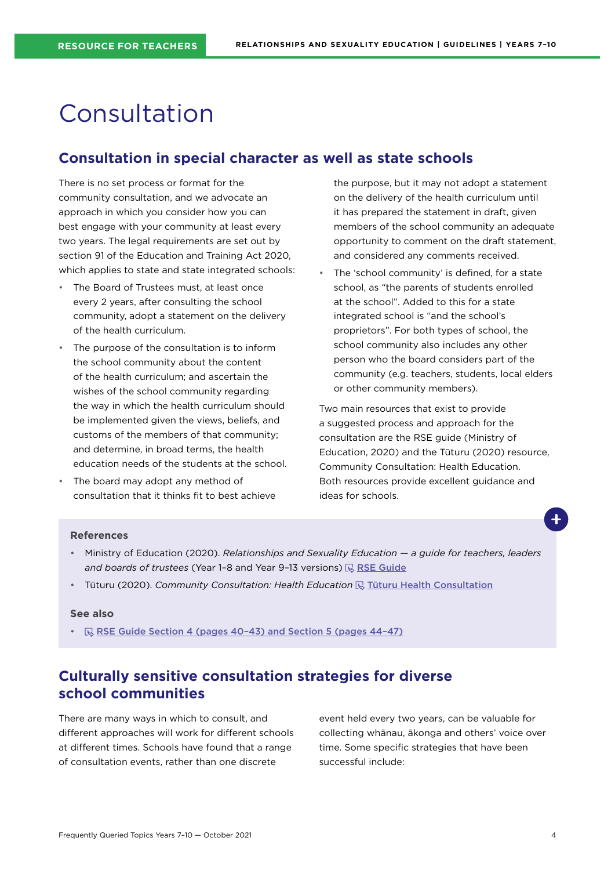## <span id="page-3-0"></span>Consultation

## **Consultation in special character as well as state schools**

There is no set process or format for the community consultation, and we advocate an approach in which you consider how you can best engage with your community at least every two years. The legal requirements are set out by section 91 of the Education and Training Act 2020, which applies to state and state integrated schools:

- The Board of Trustees must, at least once every 2 years, after consulting the school community, adopt a statement on the delivery of the health curriculum.
- The purpose of the consultation is to inform the school community about the content of the health curriculum; and ascertain the wishes of the school community regarding the way in which the health curriculum should be implemented given the views, beliefs, and customs of the members of that community; and determine, in broad terms, the health education needs of the students at the school.
- The board may adopt any method of consultation that it thinks fit to best achieve

the purpose, but it may not adopt a statement on the delivery of the health curriculum until it has prepared the statement in draft, given members of the school community an adequate opportunity to comment on the draft statement, and considered any comments received.

The 'school community' is defined, for a state school, as "the parents of students enrolled at the school". Added to this for a state integrated school is "and the school's proprietors". For both types of school, the school community also includes any other person who the board considers part of the community (e.g. teachers, students, local elders or other community members).

Two main resources that exist to provide a suggested process and approach for the consultation are the RSE guide (Ministry of Education, 2020) and the Tūturu (2020) resource, Community Consultation: Health Education. Both resources provide excellent guidance and ideas for schools.

#### **References**

- Ministry of Education (2020). *Relationships and Sexuality Education a guide for teachers, leaders and boards of trustees* (Year 1-8 and Year 9-13 versions)  $\mathbb{R}$  [RSE Guide](https://hpe.tki.org.nz/guidelines-and-policies/relationships-and-sexuality-education/)
- Tūturu (2020). *Community Consultation: Health Education* <a>
<sub>
Inter</sub>turn Health Consultation

#### **See also**

•  $\mathbb R$  RSE Guide Section 4 (pages 40-43) and Section 5 (pages 44-47)

## **Culturally sensitive consultation strategies for diverse school communities**

There are many ways in which to consult, and different approaches will work for different schools at different times. Schools have found that a range of consultation events, rather than one discrete

event held every two years, can be valuable for collecting whānau, ākonga and others' voice over time. Some specific strategies that have been successful include: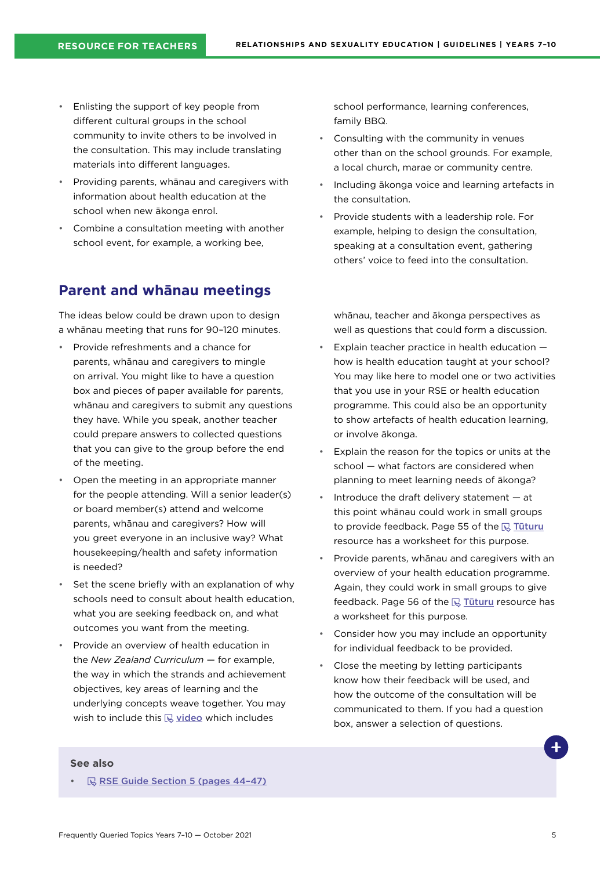- <span id="page-4-0"></span>• Enlisting the support of key people from different cultural groups in the school community to invite others to be involved in the consultation. This may include translating materials into different languages.
- Providing parents, whānau and caregivers with information about health education at the school when new ākonga enrol.
- Combine a consultation meeting with another school event, for example, a working bee,

## **Parent and whānau meetings**

The ideas below could be drawn upon to design a whānau meeting that runs for 90–120 minutes.

- Provide refreshments and a chance for parents, whānau and caregivers to mingle on arrival. You might like to have a question box and pieces of paper available for parents, whānau and caregivers to submit any questions they have. While you speak, another teacher could prepare answers to collected questions that you can give to the group before the end of the meeting.
- Open the meeting in an appropriate manner for the people attending. Will a senior leader(s) or board member(s) attend and welcome parents, whānau and caregivers? How will you greet everyone in an inclusive way? What housekeeping/health and safety information is needed?
- Set the scene briefly with an explanation of why schools need to consult about health education, what you are seeking feedback on, and what outcomes you want from the meeting.
- Provide an overview of health education in the *New Zealand Curriculum* — for example, the way in which the strands and achievement objectives, key areas of learning and the underlying concepts weave together. You may wish to include this  $\mathbb Q$  [video](https://www.youtube.com/watch?v=JwtjAT6iGxE&feature=youtu.be) which includes

school performance, learning conferences, family BBQ.

- Consulting with the community in venues other than on the school grounds. For example, a local church, marae or community centre.
- Including ākonga voice and learning artefacts in the consultation.
- Provide students with a leadership role. For example, helping to design the consultation, speaking at a consultation event, gathering others' voice to feed into the consultation.

whānau, teacher and ākonga perspectives as well as questions that could form a discussion.

- Explain teacher practice in health education  $$ how is health education taught at your school? You may like here to model one or two activities that you use in your RSE or health education programme. This could also be an opportunity to show artefacts of health education learning, or involve ākonga.
- Explain the reason for the topics or units at the school — what factors are considered when planning to meet learning needs of ākonga?
- Introduce the draft delivery statement  $-$  at this point whānau could work in small groups to provide feedback. Page 55 of the  $\mathbb R$  Tuturu resource has a worksheet for this purpose.
- Provide parents, whānau and caregivers with an overview of your health education programme. Again, they could work in small groups to give feedback. Page 56 of the  $\overline{\mathbb{R}}$  Tuturu resource has a worksheet for this purpose.
- Consider how you may include an opportunity for individual feedback to be provided.
- Close the meeting by letting participants know how their feedback will be used, and how the outcome of the consultation will be communicated to them. If you had a question box, answer a selection of questions.

#### **See also**

**RSE Guide Section 5 (pages 44-47)**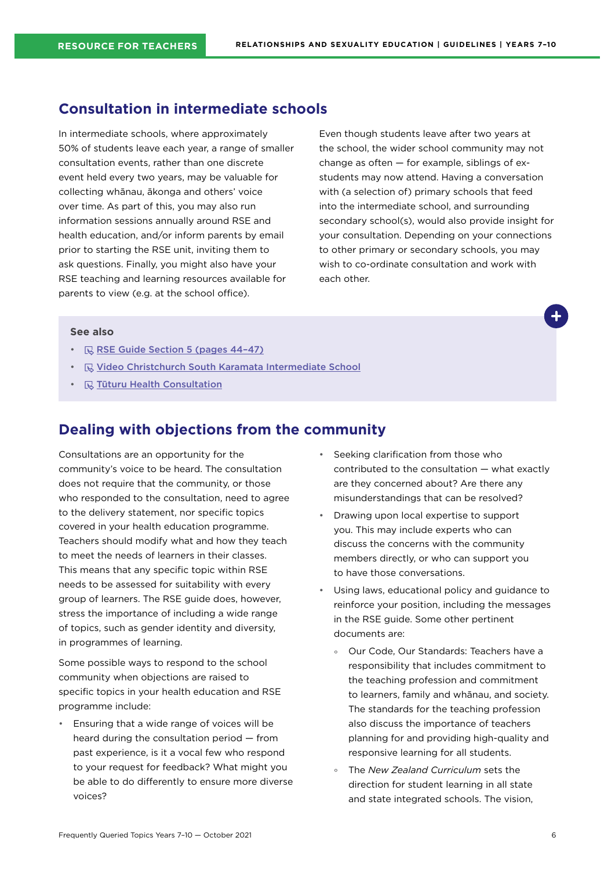## <span id="page-5-0"></span>**Consultation in intermediate schools**

In intermediate schools, where approximately 50% of students leave each year, a range of smaller consultation events, rather than one discrete event held every two years, may be valuable for collecting whānau, ākonga and others' voice over time. As part of this, you may also run information sessions annually around RSE and health education, and/or inform parents by email prior to starting the RSE unit, inviting them to ask questions. Finally, you might also have your RSE teaching and learning resources available for parents to view (e.g. at the school office).

Even though students leave after two years at the school, the wider school community may not change as often — for example, siblings of exstudents may now attend. Having a conversation with (a selection of) primary schools that feed into the intermediate school, and surrounding secondary school(s), would also provide insight for your consultation. Depending on your connections to other primary or secondary schools, you may wish to co-ordinate consultation and work with each other.

#### **See also**

- **RISE Guide Section 5 (pages 44-47)**
- **E** [Video Christchurch South Karamata Intermediate School](https://hpe.tki.org.nz/planning-and-teaching-resources/resource-collections/relationships-and-sexuality-education-guidelines-resource-collection/school-case-studies/)
- $\cdot$   $\quad$   $\mathbb R$  [Tūturu Health Consultation](https://www.tuturu.org.nz/healthconsultation/)

## **Dealing with objections from the community**

Consultations are an opportunity for the community's voice to be heard. The consultation does not require that the community, or those who responded to the consultation, need to agree to the delivery statement, nor specific topics covered in your health education programme. Teachers should modify what and how they teach to meet the needs of learners in their classes. This means that any specific topic within RSE needs to be assessed for suitability with every group of learners. The RSE guide does, however, stress the importance of including a wide range of topics, such as gender identity and diversity, in programmes of learning.

Some possible ways to respond to the school community when objections are raised to specific topics in your health education and RSE programme include:

• Ensuring that a wide range of voices will be heard during the consultation period — from past experience, is it a vocal few who respond to your request for feedback? What might you be able to do differently to ensure more diverse voices?

- Seeking clarification from those who contributed to the consultation — what exactly are they concerned about? Are there any misunderstandings that can be resolved?
- Drawing upon local expertise to support you. This may include experts who can discuss the concerns with the community members directly, or who can support you to have those conversations.
- Using laws, educational policy and guidance to reinforce your position, including the messages in the RSE guide. Some other pertinent documents are:
	- ° Our Code, Our Standards: Teachers have a responsibility that includes commitment to the teaching profession and commitment to learners, family and whānau, and society. The standards for the teaching profession also discuss the importance of teachers planning for and providing high-quality and responsive learning for all students.
	- ° The *New Zealand Curriculum* sets the direction for student learning in all state and state integrated schools. The vision,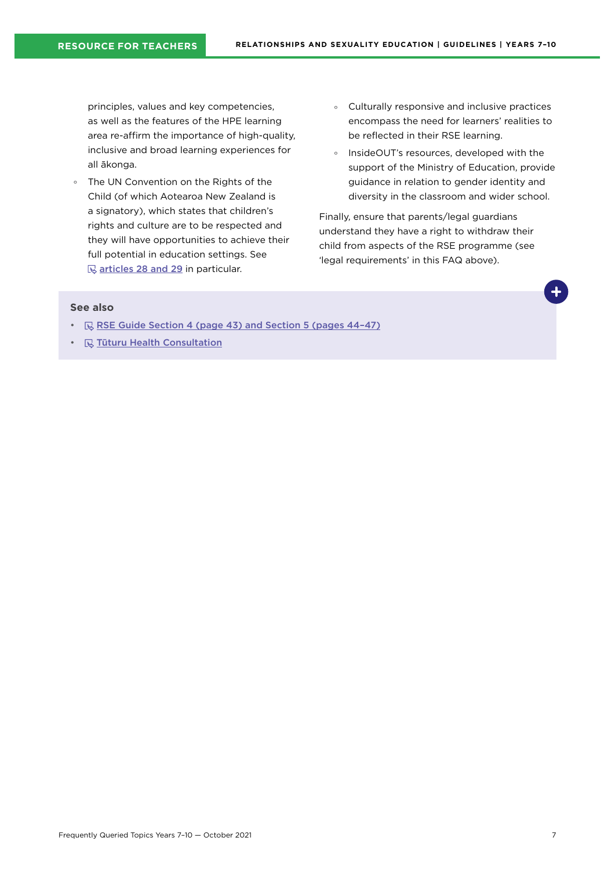principles, values and key competencies, as well as the features of the HPE learning area re-affirm the importance of high-quality, inclusive and broad learning experiences for all ākonga.

- ° The UN Convention on the Rights of the Child (of which Aotearoa New Zealand is a signatory), which states that children's rights and culture are to be respected and they will have opportunities to achieve their full potential in education settings. See  $\mathbb Q$  [articles 28 and 29](https://www.ohchr.org/en/professionalinterest/pages/crc.aspx) in particular.
- ° Culturally responsive and inclusive practices encompass the need for learners' realities to be reflected in their RSE learning.
- ° InsideOUT's resources, developed with the support of the Ministry of Education, provide guidance in relation to gender identity and diversity in the classroom and wider school.

Finally, ensure that parents/legal guardians understand they have a right to withdraw their child from aspects of the RSE programme (see 'legal requirements' in this FAQ above).

- $\mathbb R$  RSE Guide Section 4 (page 43) and Section 5 (pages 44-47)
- $\mathbb Q$  [Tūturu Health Consultation](https://www.tuturu.org.nz/healthconsultation/)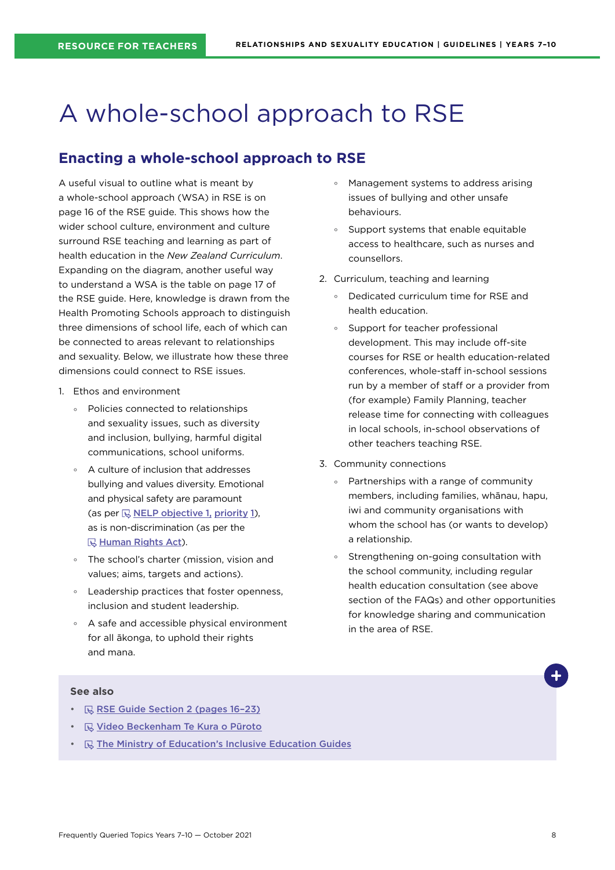## <span id="page-7-0"></span>A whole-school approach to RSE

## **Enacting a whole-school approach to RSE**

A useful visual to outline what is meant by a whole-school approach (WSA) in RSE is on page 16 of the RSE guide. This shows how the wider school culture, environment and culture surround RSE teaching and learning as part of health education in the *New Zealand Curriculum*. Expanding on the diagram, another useful way to understand a WSA is the table on page 17 of the RSE guide. Here, knowledge is drawn from the Health Promoting Schools approach to distinguish three dimensions of school life, each of which can be connected to areas relevant to relationships and sexuality. Below, we illustrate how these three dimensions could connect to RSE issues.

- 1. Ethos and environment
	- ° Policies connected to relationships and sexuality issues, such as diversity and inclusion, bullying, harmful digital communications, school uniforms.
	- A culture of inclusion that addresses bullying and values diversity. Emotional and physical safety are paramount (as per  $\overline{\mathbb{Q}}$  [NELP objective 1,](https://www.education.govt.nz/assets/Documents/NELP-TES-documents/FULL-NELP-2020.pdf) priority 1), as is non-discrimination (as per the **R**[Human Rights Act](https://www.hrc.co.nz/your-rights/human-rights-legislation-new-zealand/)).
	- ° The school's charter (mission, vision and values; aims, targets and actions).
	- ° Leadership practices that foster openness, inclusion and student leadership.
	- ° A safe and accessible physical environment for all ākonga, to uphold their rights and mana.
- ° Management systems to address arising issues of bullying and other unsafe behaviours.
- ° Support systems that enable equitable access to healthcare, such as nurses and counsellors.
- 2. Curriculum, teaching and learning
	- ° Dedicated curriculum time for RSE and health education.
	- ° Support for teacher professional development. This may include off-site courses for RSE or health education-related conferences, whole-staff in-school sessions run by a member of staff or a provider from (for example) Family Planning, teacher release time for connecting with colleagues in local schools, in-school observations of other teachers teaching RSE.
- 3. Community connections
	- ° Partnerships with a range of community members, including families, whānau, hapu, iwi and community organisations with whom the school has (or wants to develop) a relationship.
	- ° Strengthening on-going consultation with the school community, including regular health education consultation (see above section of the FAQs) and other opportunities for knowledge sharing and communication in the area of RSE.

- $\mathbb R$  RSE Guide Section 2 (pages 16-23)
- **W** [Video Beckenham Te Kura o Pūroto](https://hpe.tki.org.nz/planning-and-teaching-resources/resource-collections/relationships-and-sexuality-education-guidelines-resource-collection/school-case-studies/)
- **R** [The Ministry of Education's Inclusive Education Guides](https://www.inclusive.tki.org.nz/)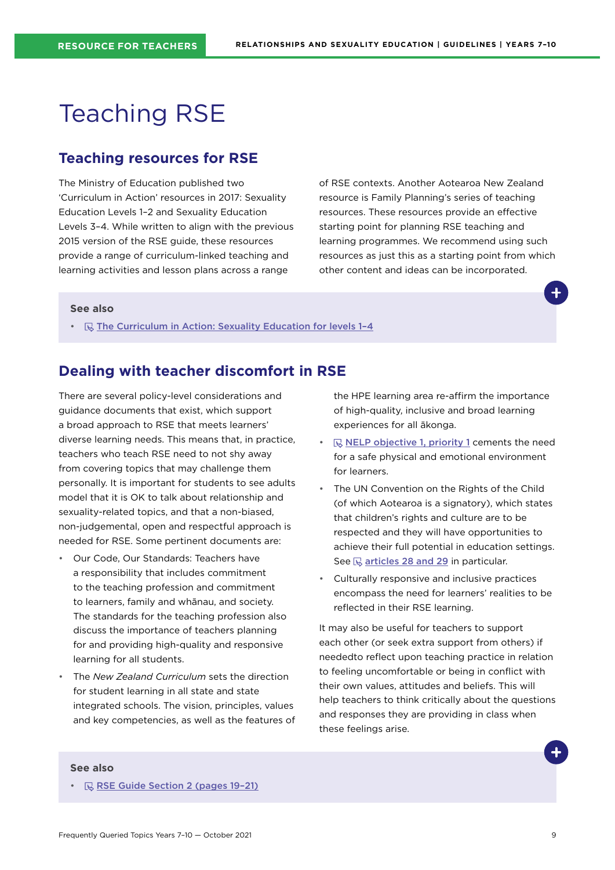## <span id="page-8-0"></span>Teaching RSE

## **Teaching resources for RSE**

The Ministry of Education published two 'Curriculum in Action' resources in 2017: Sexuality Education Levels 1–2 and Sexuality Education Levels 3–4. While written to align with the previous 2015 version of the RSE guide, these resources provide a range of curriculum-linked teaching and learning activities and lesson plans across a range

of RSE contexts. Another Aotearoa New Zealand resource is Family Planning's series of teaching resources. These resources provide an effective starting point for planning RSE teaching and learning programmes. We recommend using such resources as just this as a starting point from which other content and ideas can be incorporated.

#### **See also**

•  $\mathbb R$  The Curriculum in Action: Sexuality Education for levels 1-4

### **Dealing with teacher discomfort in RSE**

There are several policy-level considerations and guidance documents that exist, which support a broad approach to RSE that meets learners' diverse learning needs. This means that, in practice, teachers who teach RSE need to not shy away from covering topics that may challenge them personally. It is important for students to see adults model that it is OK to talk about relationship and sexuality-related topics, and that a non-biased, non-judgemental, open and respectful approach is needed for RSE. Some pertinent documents are:

- Our Code, Our Standards: Teachers have a responsibility that includes commitment to the teaching profession and commitment to learners, family and whānau, and society. The standards for the teaching profession also discuss the importance of teachers planning for and providing high-quality and responsive learning for all students.
- The *New Zealand Curriculum* sets the direction for student learning in all state and state integrated schools. The vision, principles, values and key competencies, as well as the features of

the HPE learning area re-affirm the importance of high-quality, inclusive and broad learning experiences for all ākonga.

- $\mathbb R$  [NELP objective 1, priority 1](https://www.education.govt.nz/assets/Documents/NELP-TES-documents/FULL-NELP-2020.pdf) cements the need for a safe physical and emotional environment for learners.
- The UN Convention on the Rights of the Child (of which Aotearoa is a signatory), which states that children's rights and culture are to be respected and they will have opportunities to achieve their full potential in education settings. See  $\mathbb Q$  [articles 28 and 29](https://www.ohchr.org/en/professionalinterest/pages/crc.aspx) in particular.
- Culturally responsive and inclusive practices encompass the need for learners' realities to be reflected in their RSE learning.

It may also be useful for teachers to support each other (or seek extra support from others) if neededto reflect upon teaching practice in relation to feeling uncomfortable or being in conflict with their own values, attitudes and beliefs. This will help teachers to think critically about the questions and responses they are providing in class when these feelings arise.

#### **See also**

•  $\mathbb R$  RSE Guide Section 2 (pages 19-21)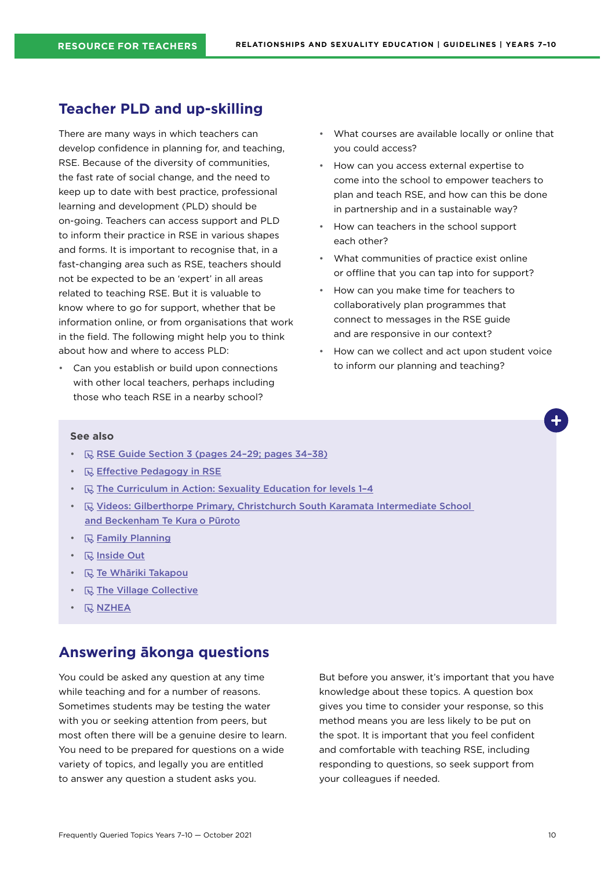### <span id="page-9-0"></span>**Teacher PLD and up-skilling**

There are many ways in which teachers can develop confidence in planning for, and teaching, RSE. Because of the diversity of communities, the fast rate of social change, and the need to keep up to date with best practice, professional learning and development (PLD) should be on-going. Teachers can access support and PLD to inform their practice in RSE in various shapes and forms. It is important to recognise that, in a fast-changing area such as RSE, teachers should not be expected to be an 'expert' in all areas related to teaching RSE. But it is valuable to know where to go for support, whether that be information online, or from organisations that work in the field. The following might help you to think about how and where to access PLD:

• Can you establish or build upon connections with other local teachers, perhaps including those who teach RSE in a nearby school?

- What courses are available locally or online that you could access?
- How can you access external expertise to come into the school to empower teachers to plan and teach RSE, and how can this be done in partnership and in a sustainable way?
- How can teachers in the school support each other?
- What communities of practice exist online or offline that you can tap into for support?
- How can you make time for teachers to collaboratively plan programmes that connect to messages in the RSE guide and are responsive in our context?
- How can we collect and act upon student voice to inform our planning and teaching?

#### **See also**

- $\mathbb R$  RSE Guide Section 3 (pages 24-29; pages 34-38)
- **E** [Effective Pedagogy in RSE](https://hpe.tki.org.nz/planning-and-teaching-resources/resource-collections/relationships-and-sexuality-education-guidelines-resource-collection/)
- $\mathbb R$  The Curriculum in Action: Sexuality Education for levels 1-4
- **B** Videos: Gilberthorpe Primary, Christchurch South Karamata Intermediate School [and Beckenham Te Kura o Pūroto](https://hpe.tki.org.nz/planning-and-teaching-resources/resource-collections/relationships-and-sexuality-education-guidelines-resource-collection/school-case-studies/)
- $\cdot$   $\quad$   $\mathbb{R}$  [Family Planning](https://www.familyplanning.org.nz/)
- *<u>R</u>* [Inside Out](http://insideout.org.nz/)
- **R** [Te Whāriki Takapou](https://tewhariki.org.nz/)
- $\mathbb Q$  [The Village Collective](https://www.villagecollective.org.nz/)
- $\cdot$  **[NZHEA](https://healtheducation.org.nz)**

## **Answering ākonga questions**

You could be asked any question at any time while teaching and for a number of reasons. Sometimes students may be testing the water with you or seeking attention from peers, but most often there will be a genuine desire to learn. You need to be prepared for questions on a wide variety of topics, and legally you are entitled to answer any question a student asks you.

But before you answer, it's important that you have knowledge about these topics. A question box gives you time to consider your response, so this method means you are less likely to be put on the spot. It is important that you feel confident and comfortable with teaching RSE, including responding to questions, so seek support from your colleagues if needed.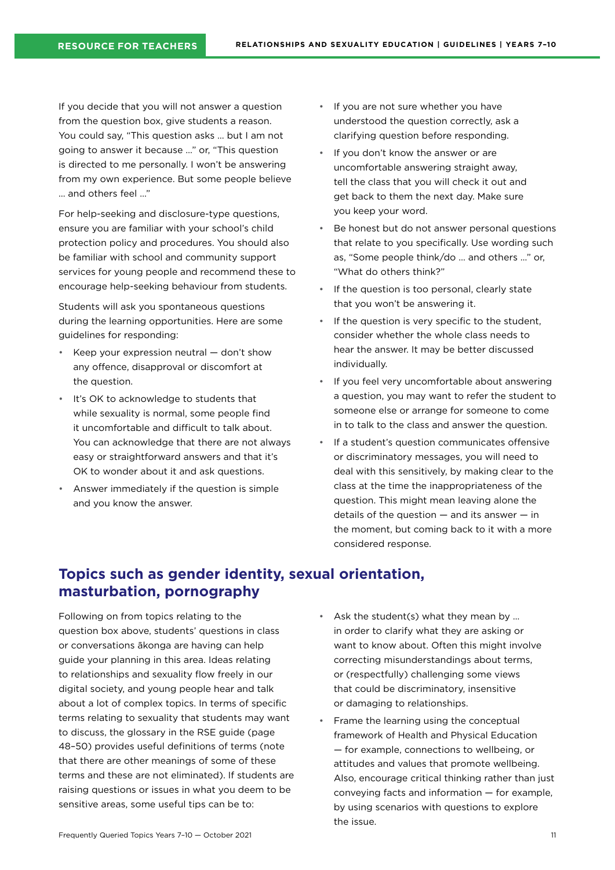<span id="page-10-0"></span>If you decide that you will not answer a question from the question box, give students a reason. You could say, "This question asks … but I am not going to answer it because …" or, "This question is directed to me personally. I won't be answering from my own experience. But some people believe … and others feel …"

For help-seeking and disclosure-type questions, ensure you are familiar with your school's child protection policy and procedures. You should also be familiar with school and community support services for young people and recommend these to encourage help-seeking behaviour from students.

Students will ask you spontaneous questions during the learning opportunities. Here are some guidelines for responding:

- Keep your expression neutral  $-$  don't show any offence, disapproval or discomfort at the question.
- It's OK to acknowledge to students that while sexuality is normal, some people find it uncomfortable and difficult to talk about. You can acknowledge that there are not always easy or straightforward answers and that it's OK to wonder about it and ask questions.
- Answer immediately if the question is simple and you know the answer.
- If you are not sure whether you have understood the question correctly, ask a clarifying question before responding.
- If you don't know the answer or are uncomfortable answering straight away, tell the class that you will check it out and get back to them the next day. Make sure you keep your word.
- Be honest but do not answer personal questions that relate to you specifically. Use wording such as, "Some people think/do … and others …" or, "What do others think?"
- If the question is too personal, clearly state that you won't be answering it.
- If the question is very specific to the student, consider whether the whole class needs to hear the answer. It may be better discussed individually.
- If you feel very uncomfortable about answering a question, you may want to refer the student to someone else or arrange for someone to come in to talk to the class and answer the question.
- If a student's question communicates offensive or discriminatory messages, you will need to deal with this sensitively, by making clear to the class at the time the inappropriateness of the question. This might mean leaving alone the details of the question  $-$  and its answer  $-$  in the moment, but coming back to it with a more considered response.

## **Topics such as gender identity, sexual orientation, masturbation, pornography**

Following on from topics relating to the question box above, students' questions in class or conversations ākonga are having can help guide your planning in this area. Ideas relating to relationships and sexuality flow freely in our digital society, and young people hear and talk about a lot of complex topics. In terms of specific terms relating to sexuality that students may want to discuss, the glossary in the RSE guide (page 48–50) provides useful definitions of terms (note that there are other meanings of some of these terms and these are not eliminated). If students are raising questions or issues in what you deem to be sensitive areas, some useful tips can be to:

- Ask the student(s) what they mean by ... in order to clarify what they are asking or want to know about. Often this might involve correcting misunderstandings about terms, or (respectfully) challenging some views that could be discriminatory, insensitive or damaging to relationships.
- Frame the learning using the conceptual framework of Health and Physical Education — for example, connections to wellbeing, or attitudes and values that promote wellbeing. Also, encourage critical thinking rather than just conveying facts and information — for example, by using scenarios with questions to explore the issue.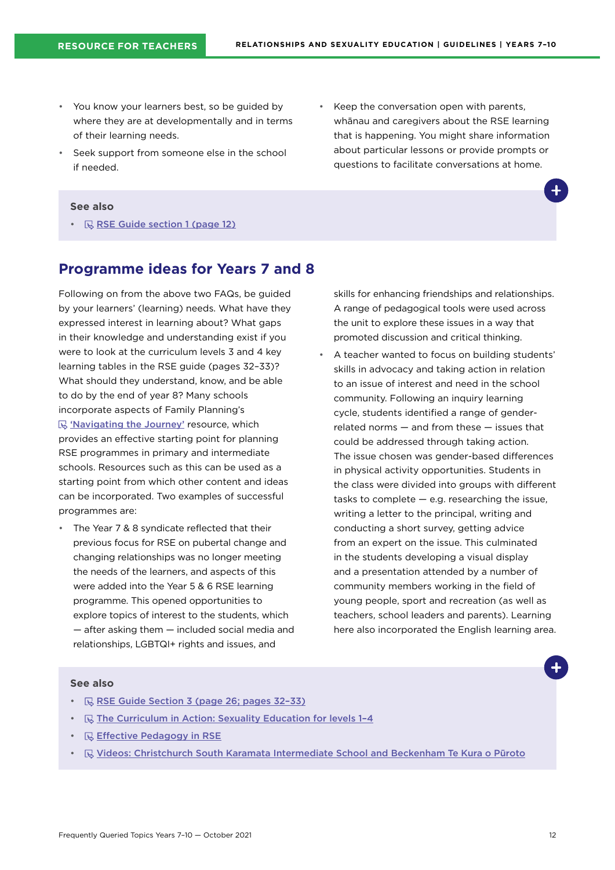- <span id="page-11-0"></span>• You know your learners best, so be guided by where they are at developmentally and in terms of their learning needs.
- Seek support from someone else in the school if needed.
- Keep the conversation open with parents, whānau and caregivers about the RSE learning that is happening. You might share information about particular lessons or provide prompts or questions to facilitate conversations at home.

#### **See also**

•  $\mathbb R$  [RSE Guide section 1 \(page 12\)](https://hpe.tki.org.nz/guidelines-and-policies/relationships-and-sexuality-education/)

### **Programme ideas for Years 7 and 8**

Following on from the above two FAQs, be guided by your learners' (learning) needs. What have they expressed interest in learning about? What gaps in their knowledge and understanding exist if you were to look at the curriculum levels 3 and 4 key learning tables in the RSE guide (pages 32–33)? What should they understand, know, and be able to do by the end of year 8? Many schools incorporate aspects of Family Planning's 'S ['Navigating the Journey'](https://www.familyplanning.org.nz/catalog/resources/primaryintermediate-teaching-resources) resource, which provides an effective starting point for planning RSE programmes in primary and intermediate schools. Resources such as this can be used as a starting point from which other content and ideas can be incorporated. Two examples of successful programmes are:

• The Year 7 & 8 syndicate reflected that their previous focus for RSE on pubertal change and changing relationships was no longer meeting the needs of the learners, and aspects of this were added into the Year 5 & 6 RSE learning programme. This opened opportunities to explore topics of interest to the students, which — after asking them — included social media and relationships, LGBTQI+ rights and issues, and

skills for enhancing friendships and relationships. A range of pedagogical tools were used across the unit to explore these issues in a way that promoted discussion and critical thinking.

• A teacher wanted to focus on building students' skills in advocacy and taking action in relation to an issue of interest and need in the school community. Following an inquiry learning cycle, students identified a range of genderrelated norms — and from these — issues that could be addressed through taking action. The issue chosen was gender-based differences in physical activity opportunities. Students in the class were divided into groups with different tasks to complete — e.g. researching the issue, writing a letter to the principal, writing and conducting a short survey, getting advice from an expert on the issue. This culminated in the students developing a visual display and a presentation attended by a number of community members working in the field of young people, sport and recreation (as well as teachers, school leaders and parents). Learning here also incorporated the English learning area.

- $\mathbb R$  RSE Guide Section 3 (page 26; pages 32-33)
- $\quad \mathbb{R}$  The Curriculum in Action: Sexuality Education for levels 1-4
- **B** [Effective Pedagogy in RSE](https://hpe.tki.org.nz/planning-and-teaching-resources/resource-collections/relationships-and-sexuality-education-guidelines-resource-collection/)
- [Videos: Christchurch South Karamata Intermediate School and Beckenham](https://hpe.tki.org.nz/planning-and-teaching-resources/resource-collections/relationships-and-sexuality-education-guidelines-resource-collection/school-case-studies/) Te Kura o Pūroto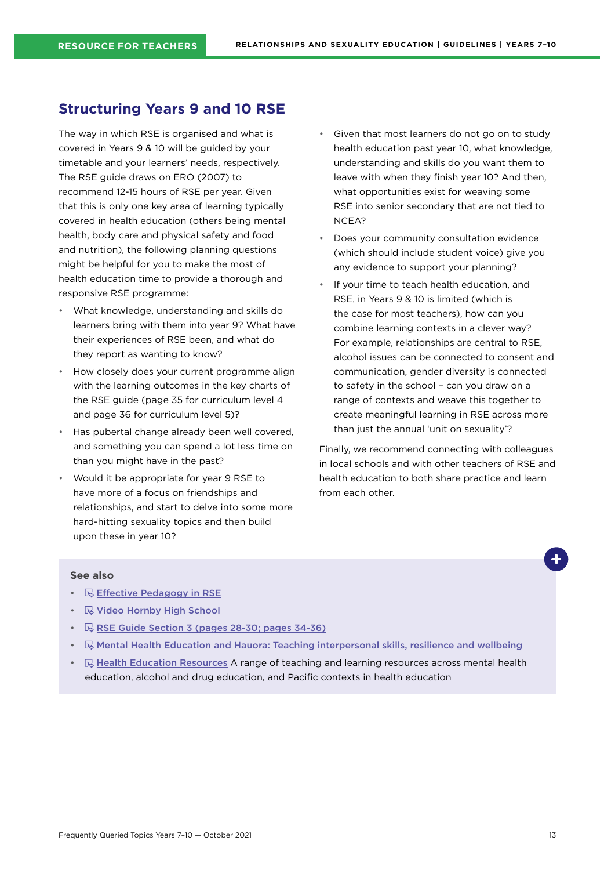### <span id="page-12-0"></span>**Structuring Years 9 and 10 RSE**

The way in which RSE is organised and what is covered in Years 9 & 10 will be guided by your timetable and your learners' needs, respectively. The RSE guide draws on ERO (2007) to recommend 12-15 hours of RSE per year. Given that this is only one key area of learning typically covered in health education (others being mental health, body care and physical safety and food and nutrition), the following planning questions might be helpful for you to make the most of health education time to provide a thorough and responsive RSE programme:

- What knowledge, understanding and skills do learners bring with them into year 9? What have their experiences of RSE been, and what do they report as wanting to know?
- How closely does your current programme align with the learning outcomes in the key charts of the RSE guide (page 35 for curriculum level 4 and page 36 for curriculum level 5)?
- Has pubertal change already been well covered, and something you can spend a lot less time on than you might have in the past?
- Would it be appropriate for year 9 RSE to have more of a focus on friendships and relationships, and start to delve into some more hard-hitting sexuality topics and then build upon these in year 10?
- Given that most learners do not go on to study health education past year 10, what knowledge, understanding and skills do you want them to leave with when they finish year 10? And then, what opportunities exist for weaving some RSE into senior secondary that are not tied to NCEA?
- Does your community consultation evidence (which should include student voice) give you any evidence to support your planning?
- If your time to teach health education, and RSE, in Years 9 & 10 is limited (which is the case for most teachers), how can you combine learning contexts in a clever way? For example, relationships are central to RSE, alcohol issues can be connected to consent and communication, gender diversity is connected to safety in the school – can you draw on a range of contexts and weave this together to create meaningful learning in RSE across more than just the annual 'unit on sexuality'?

Finally, we recommend connecting with colleagues in local schools and with other teachers of RSE and health education to both share practice and learn from each other.

- **[Effective Pedagogy in RSE](https://hpe.tki.org.nz/planning-and-teaching-resources/resource-collections/relationships-and-sexuality-education-guidelines-resource-collection/)**
- $\cdot$   $\mathbb R$  [Video Hornby High School](https://hpe.tki.org.nz/planning-and-teaching-resources/resource-collections/relationships-and-sexuality-education-guidelines-resource-collection/school-case-studies/)
- $\mathbb R$  [RSE Guide Section 3 \(pages 28-30; pages 34-36\)](https://hpe.tki.org.nz/guidelines-and-policies/relationships-and-sexuality-education/)
- $\mathbb{R}$  [Mental Health Education and Hauora: Teaching interpersonal skills, resilience and wellbeing](https://healtheducation.org.nz/resources/mental-health-education/)
- $\mathbb R$  [Health Education Resources](https://healtheducation.org.nz/resources/) A range of teaching and learning resources across mental health education, alcohol and drug education, and Pacific contexts in health education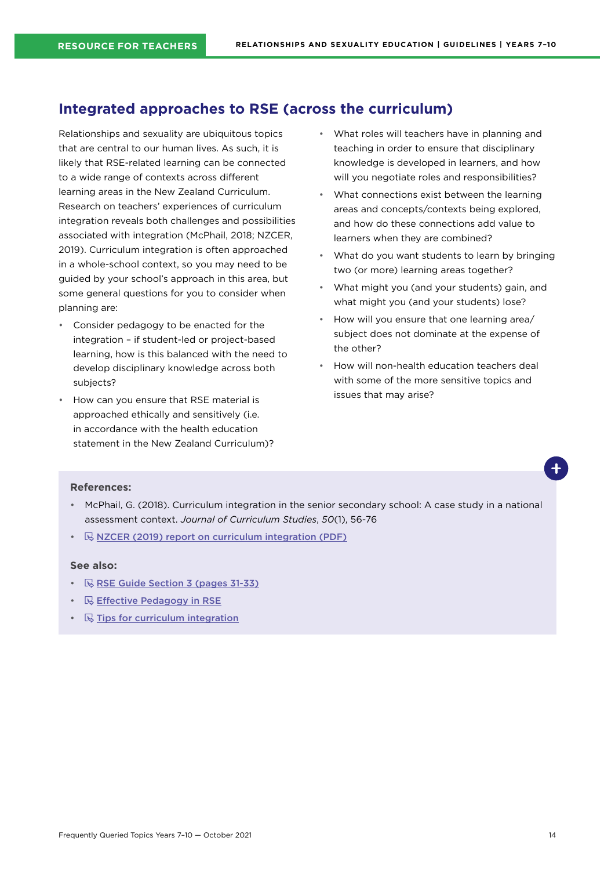## <span id="page-13-0"></span>**Integrated approaches to RSE (across the curriculum)**

Relationships and sexuality are ubiquitous topics that are central to our human lives. As such, it is likely that RSE-related learning can be connected to a wide range of contexts across different learning areas in the New Zealand Curriculum. Research on teachers' experiences of curriculum integration reveals both challenges and possibilities associated with integration (McPhail, 2018; NZCER, 2019). Curriculum integration is often approached in a whole-school context, so you may need to be guided by your school's approach in this area, but some general questions for you to consider when planning are:

- Consider pedagogy to be enacted for the integration – if student-led or project-based learning, how is this balanced with the need to develop disciplinary knowledge across both subjects?
- How can you ensure that RSE material is approached ethically and sensitively (i.e. in accordance with the health education statement in the New Zealand Curriculum)?
- What roles will teachers have in planning and teaching in order to ensure that disciplinary knowledge is developed in learners, and how will you negotiate roles and responsibilities?
- What connections exist between the learning areas and concepts/contexts being explored, and how do these connections add value to learners when they are combined?
- What do you want students to learn by bringing two (or more) learning areas together?
- What might you (and your students) gain, and what might you (and your students) lose?
- How will you ensure that one learning area/ subject does not dominate at the expense of the other?
- How will non-health education teachers deal with some of the more sensitive topics and issues that may arise?

#### **References:**

- McPhail, G. (2018). Curriculum integration in the senior secondary school: A case study in a national assessment context. *Journal of Curriculum Studies*, *50*(1), 56-76
- **WAIZCER (2019) report on curriculum integration (PDF)**

- $\mathbb R$  [RSE Guide Section 3 \(pages 31-33\)](https://hpe.tki.org.nz/guidelines-and-policies/relationships-and-sexuality-education/)
- $\cdot$   $\quad$   $\mathbb{R}$  [Effective Pedagogy in RSE](https://hpe.tki.org.nz/planning-and-teaching-resources/resource-collections/relationships-and-sexuality-education-guidelines-resource-collection/)
- $\mathbb R$  [Tips for curriculum integration](https://theeducationhub.org.nz/an-introduction-to-curriculum-integration/)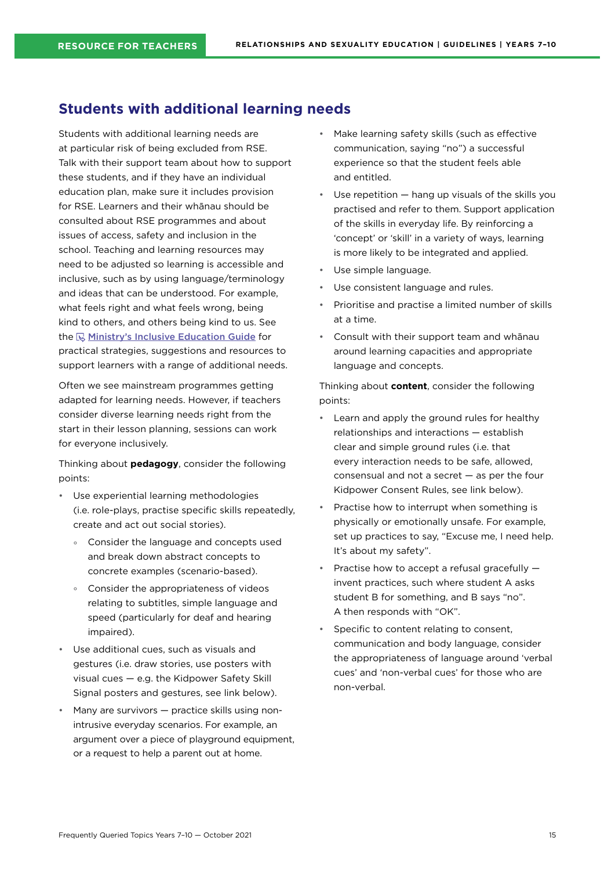## <span id="page-14-0"></span>**Students with additional learning needs**

Students with additional learning needs are at particular risk of being excluded from RSE. Talk with their support team about how to support these students, and if they have an individual education plan, make sure it includes provision for RSE. Learners and their whānau should be consulted about RSE programmes and about issues of access, safety and inclusion in the school. Teaching and learning resources may need to be adjusted so learning is accessible and inclusive, such as by using language/terminology and ideas that can be understood. For example, what feels right and what feels wrong, being kind to others, and others being kind to us. See the  $\mathbb R$  [Ministry's Inclusive Education Guide](https://inclusive.tki.org.nz/guides/) for practical strategies, suggestions and resources to support learners with a range of additional needs.

Often we see mainstream programmes getting adapted for learning needs. However, if teachers consider diverse learning needs right from the start in their lesson planning, sessions can work for everyone inclusively.

Thinking about **pedagogy**, consider the following points:

- Use experiential learning methodologies (i.e. role-plays, practise specific skills repeatedly, create and act out social stories).
	- ° Consider the language and concepts used and break down abstract concepts to concrete examples (scenario-based).
	- ° Consider the appropriateness of videos relating to subtitles, simple language and speed (particularly for deaf and hearing impaired).
- Use additional cues, such as visuals and gestures (i.e. draw stories, use posters with visual cues — e.g. the Kidpower Safety Skill Signal posters and gestures, see link below).
- Many are survivors practice skills using nonintrusive everyday scenarios. For example, an argument over a piece of playground equipment, or a request to help a parent out at home.
- Make learning safety skills (such as effective communication, saying "no") a successful experience so that the student feels able and entitled.
- Use repetition  $-$  hang up visuals of the skills you practised and refer to them. Support application of the skills in everyday life. By reinforcing a 'concept' or 'skill' in a variety of ways, learning is more likely to be integrated and applied.
- Use simple language.
- Use consistent language and rules.
- Prioritise and practise a limited number of skills at a time.
- Consult with their support team and whānau around learning capacities and appropriate language and concepts.

Thinking about **content**, consider the following points:

- Learn and apply the ground rules for healthy relationships and interactions — establish clear and simple ground rules (i.e. that every interaction needs to be safe, allowed, consensual and not a secret — as per the four Kidpower Consent Rules, see link below).
- Practise how to interrupt when something is physically or emotionally unsafe. For example, set up practices to say, "Excuse me, I need help. It's about my safety".
- Practise how to accept a refusal gracefully invent practices, such where student A asks student B for something, and B says "no". A then responds with "OK".
- Specific to content relating to consent. communication and body language, consider the appropriateness of language around 'verbal cues' and 'non-verbal cues' for those who are non-verbal.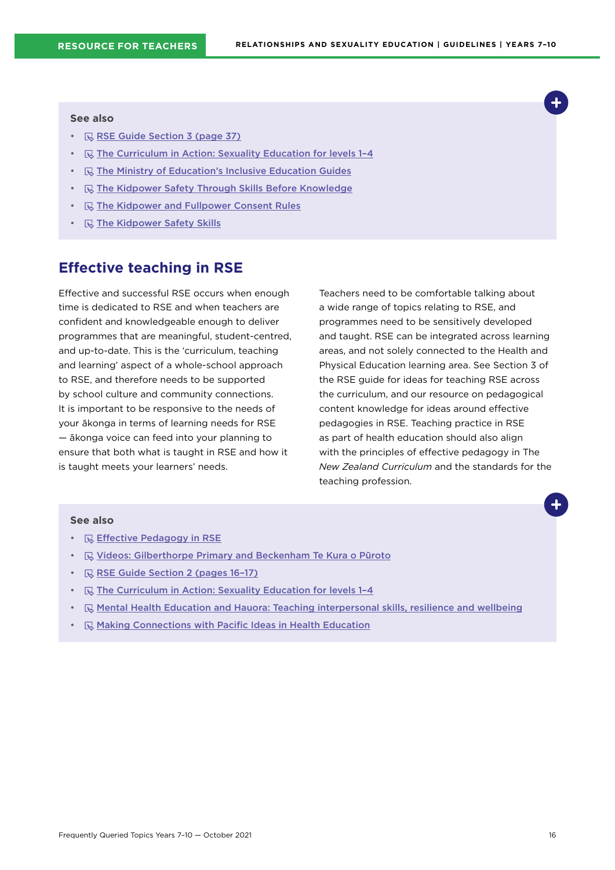#### <span id="page-15-0"></span>**See also**

- $\mathbb R$  [RSE Guide Section 3 \(page 37\)](https://hpe.tki.org.nz/guidelines-and-policies/relationships-and-sexuality-education/)
- $\quad \quad \mathbb{R}$  The Curriculum in Action: Sexuality Education for levels 1-4
- $\mathbb R$  [The Ministry of Education's Inclusive Education Guides](https://www.inclusive.tki.org.nz/)
- R [The Kidpower Safety Through Skills Before Knowledge](https://www.kidpower.org/library/article/safety-through-skills-before-knowledge)
- **R** [The Kidpower and Fullpower Consent Rules](https://www.kidpower.org/library/consent-posters/)
- **R** [The Kidpower Safety Skills](https://empowermenttrust.nz/resources/kidpower-safety-signals/)

## **Effective teaching in RSE**

Effective and successful RSE occurs when enough time is dedicated to RSE and when teachers are confident and knowledgeable enough to deliver programmes that are meaningful, student-centred, and up-to-date. This is the 'curriculum, teaching and learning' aspect of a whole-school approach to RSE, and therefore needs to be supported by school culture and community connections. It is important to be responsive to the needs of your ākonga in terms of learning needs for RSE — ākonga voice can feed into your planning to ensure that both what is taught in RSE and how it is taught meets your learners' needs.

Teachers need to be comfortable talking about a wide range of topics relating to RSE, and programmes need to be sensitively developed and taught. RSE can be integrated across learning areas, and not solely connected to the Health and Physical Education learning area. See Section 3 of the RSE guide for ideas for teaching RSE across the curriculum, and our resource on pedagogical content knowledge for ideas around effective pedagogies in RSE. Teaching practice in RSE as part of health education should also align with the principles of effective pedagogy in The *New Zealand Curriculum* and the standards for the teaching profession.

- **[Effective Pedagogy in RSE](https://hpe.tki.org.nz/planning-and-teaching-resources/resource-collections/relationships-and-sexuality-education-guidelines-resource-collection/)**
- $\mathbb R$  [Videos: Gilberthorpe Primary and Beckenham Te Kura o Pūroto](https://hpe.tki.org.nz/planning-and-teaching-resources/resource-collections/relationships-and-sexuality-education-guidelines-resource-collection/school-case-studies/)
- $\mathbb R$  RSE Guide Section 2 (pages 16-17)
- $\quad \overline{\mathbb{Q}}$  The Curriculum in Action: Sexuality Education for levels 1-4
- $\Box$  [Mental Health Education and Hauora: Teaching interpersonal skills, resilience and wellbeing](https://healtheducation.org.nz/resources/mental-health-education/)
- $\mathbb{R}$  [Making Connections with Pacific Ideas in Health Education](https://healtheducation.org.nz/resources)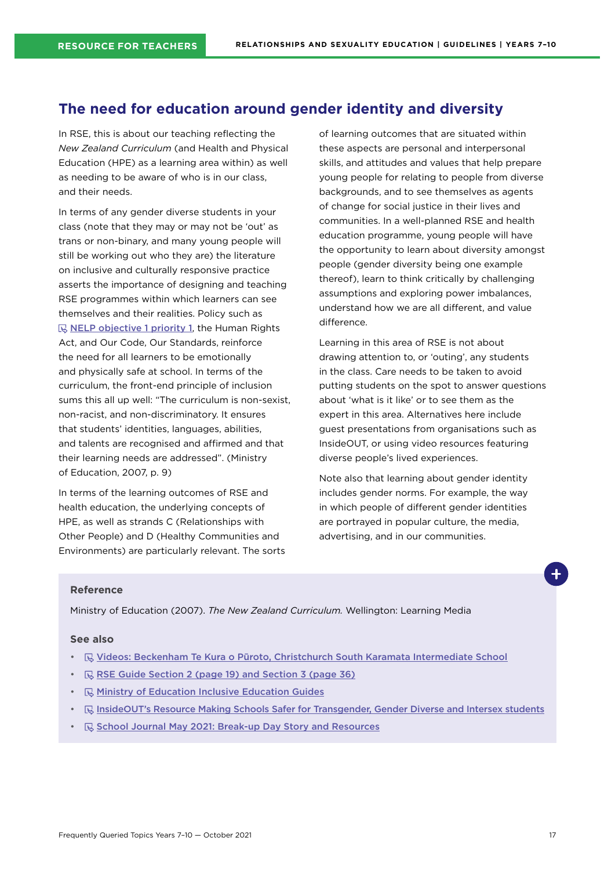## <span id="page-16-0"></span>**The need for education around gender identity and diversity**

In RSE, this is about our teaching reflecting the *New Zealand Curriculum* (and Health and Physical Education (HPE) as a learning area within) as well as needing to be aware of who is in our class, and their needs.

In terms of any gender diverse students in your class (note that they may or may not be 'out' as trans or non-binary, and many young people will still be working out who they are) the literature on inclusive and culturally responsive practice asserts the importance of designing and teaching RSE programmes within which learners can see themselves and their realities. Policy such as  $\mathbb R$  [NELP objective 1 priority 1](https://www.education.govt.nz/assets/Documents/NELP-TES-documents/FULL-NELP-2020.pdf), the Human Rights Act, and Our Code, Our Standards, reinforce the need for all learners to be emotionally and physically safe at school. In terms of the curriculum, the front-end principle of inclusion sums this all up well: "The curriculum is non-sexist, non-racist, and non-discriminatory. It ensures that students' identities, languages, abilities, and talents are recognised and affirmed and that their learning needs are addressed". (Ministry of Education, 2007, p. 9)

In terms of the learning outcomes of RSE and health education, the underlying concepts of HPE, as well as strands C (Relationships with Other People) and D (Healthy Communities and Environments) are particularly relevant. The sorts of learning outcomes that are situated within these aspects are personal and interpersonal skills, and attitudes and values that help prepare young people for relating to people from diverse backgrounds, and to see themselves as agents of change for social justice in their lives and communities. In a well-planned RSE and health education programme, young people will have the opportunity to learn about diversity amongst people (gender diversity being one example thereof), learn to think critically by challenging assumptions and exploring power imbalances, understand how we are all different, and value difference.

Learning in this area of RSE is not about drawing attention to, or 'outing', any students in the class. Care needs to be taken to avoid putting students on the spot to answer questions about 'what is it like' or to see them as the expert in this area. Alternatives here include guest presentations from organisations such as InsideOUT, or using video resources featuring diverse people's lived experiences.

Note also that learning about gender identity includes gender norms. For example, the way in which people of different gender identities are portrayed in popular culture, the media, advertising, and in our communities.

#### **Reference**

Ministry of Education (2007). *The New Zealand Curriculum.* Wellington: Learning Media

- **E** [Videos: Beckenham Te Kura o Pūroto, Christchurch](https://hpe.tki.org.nz/planning-and-teaching-resources/resource-collections/relationships-and-sexuality-education-guidelines-resource-collection/school-case-studies/) South Karamata Intermediate School
- $\mathbb R$  [RSE Guide Section 2 \(page 19\) and Section 3 \(page 36\)](https://hpe.tki.org.nz/guidelines-and-policies/relationships-and-sexuality-education/)
- $\mathbb R$  [Ministry of Education Inclusive Education Guides](https://www.inclusive.tki.org.nz/guides/supporting-lgbtiqa-students/)
- **B** [InsideOUT's Resource Making Schools Safer for Transgender, Gender Diverse and Intersex students](http://insideout.org.nz/resources/)
- **E** [School Journal May 2021: Break-up Day Story and Resources](https://instructionalseries.tki.org.nz/Instructional-Series/School-Journal/School-Journal-Level-4-May-2021/Break-up-Day)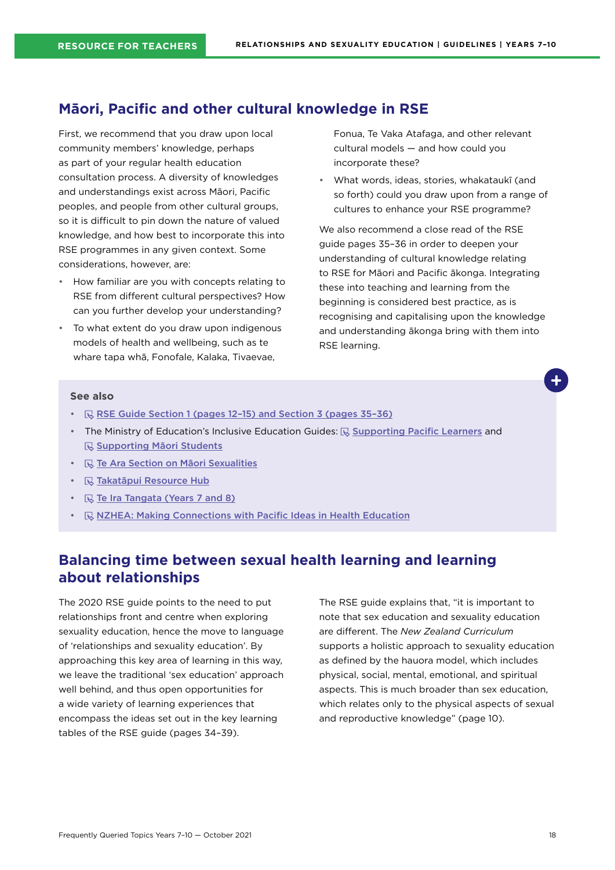## <span id="page-17-0"></span>**Māori, Pacific and other cultural knowledge in RSE**

First, we recommend that you draw upon local community members' knowledge, perhaps as part of your regular health education consultation process. A diversity of knowledges and understandings exist across Māori, Pacific peoples, and people from other cultural groups, so it is difficult to pin down the nature of valued knowledge, and how best to incorporate this into RSE programmes in any given context. Some considerations, however, are:

- How familiar are you with concepts relating to RSE from different cultural perspectives? How can you further develop your understanding?
- To what extent do you draw upon indigenous models of health and wellbeing, such as te whare tapa whā, Fonofale, Kalaka, Tivaevae,

Fonua, Te Vaka Atafaga, and other relevant cultural models — and how could you incorporate these?

• What words, ideas, stories, whakataukī (and so forth) could you draw upon from a range of cultures to enhance your RSE programme?

We also recommend a close read of the RSE guide pages 35–36 in order to deepen your understanding of cultural knowledge relating to RSE for Māori and Pacific ākonga. Integrating these into teaching and learning from the beginning is considered best practice, as is recognising and capitalising upon the knowledge and understanding ākonga bring with them into RSE learning.

#### **See also**

- $\Box$  RSE Guide Section 1 (pages 12-15) and Section 3 (pages 35-36)
- The Ministry of Education's Inclusive Education Guides:  $\overline{\mathbb{Q}}$  [Supporting Pacific Learners](https://www.inclusive.tki.org.nz/guides/supporting-pacific-learners/) and **[Supporting Māori Students](https://www.inclusive.tki.org.nz/guides/supporting-maori-students/)**
- **R** [Te Ara Section on Māori Sexualities](https://teara.govt.nz/en/hokakatanga-maori-sexualities/media)
- $\mathbb Q$  [Takatāpui Resource Hub](https://takatapui.nz/)
- $\mathbb R$  [Te Ira Tangata \(Years 7 and 8\)](https://tewhariki.org.nz)
- **<b>R**, [NZHEA: Making Connections with Pacific Ideas in Health Education](https://healtheducation.org.nz/resources/)

## **Balancing time between sexual health learning and learning about relationships**

The 2020 RSE guide points to the need to put relationships front and centre when exploring sexuality education, hence the move to language of 'relationships and sexuality education'. By approaching this key area of learning in this way, we leave the traditional 'sex education' approach well behind, and thus open opportunities for a wide variety of learning experiences that encompass the ideas set out in the key learning tables of the RSE guide (pages 34–39).

The RSE guide explains that, "it is important to note that sex education and sexuality education are different. The *New Zealand Curriculum* supports a holistic approach to sexuality education as defined by the hauora model, which includes physical, social, mental, emotional, and spiritual aspects. This is much broader than sex education, which relates only to the physical aspects of sexual and reproductive knowledge" (page 10).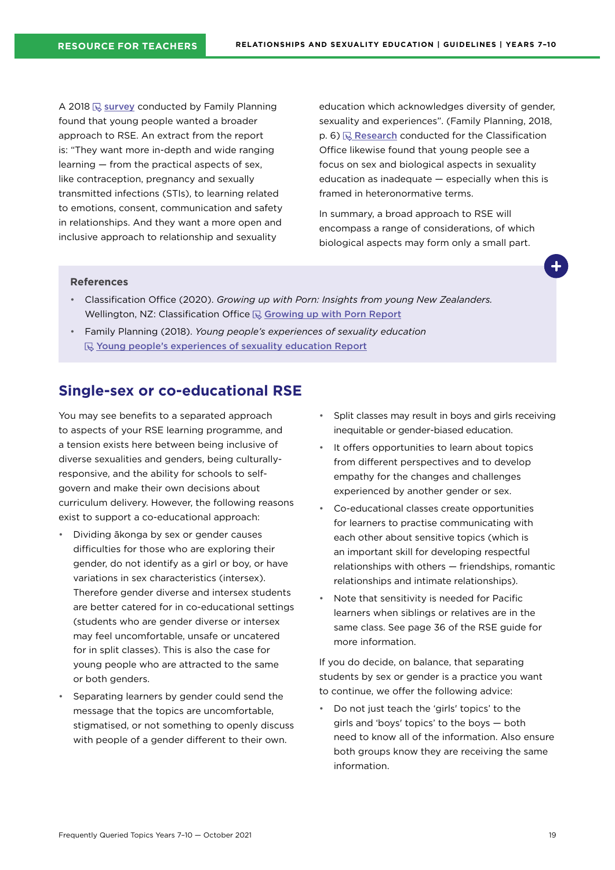<span id="page-18-0"></span>A 2018  $\overline{\mathbb{Q}}$  [survey](https://www.familyplanning.org.nz/media/303990/youth-survey-summary-report_march2019_final.pdf) conducted by Family Planning found that young people wanted a broader approach to RSE. An extract from the report is: "They want more in-depth and wide ranging learning — from the practical aspects of sex, like contraception, pregnancy and sexually transmitted infections (STIs), to learning related to emotions, consent, communication and safety in relationships. And they want a more open and inclusive approach to relationship and sexuality

education which acknowledges diversity of gender, sexuality and experiences". (Family Planning, 2018,  $p. 6$ )  $\mathbb{R}$  [Research](https://www.classificationoffice.govt.nz/assets/PDFs/Growing-Up-With-Porn-v2.pdf) conducted for the Classification Office likewise found that young people see a focus on sex and biological aspects in sexuality education as inadequate — especially when this is framed in heteronormative terms.

In summary, a broad approach to RSE will encompass a range of considerations, of which biological aspects may form only a small part.

#### **References**

- Classification Office (2020). *Growing up with Porn: Insights from young New Zealanders.* Wellington, NZ: Classification Office  $\mathbb Q$  [Growing up with Porn](https://www.classificationoffice.govt.nz/assets/PDFs/Growing-Up-With-Porn-v2.pdf) Report
- Family Planning (2018). *Young people's experiences of sexuality education* Young people's experiences of sexuality [education Report](https://www.familyplanning.org.nz/media/303990/youth-survey-summary-report_march2019_final.pdf)

### **Single-sex or co-educational RSE**

You may see benefits to a separated approach to aspects of your RSE learning programme, and a tension exists here between being inclusive of diverse sexualities and genders, being culturallyresponsive, and the ability for schools to selfgovern and make their own decisions about curriculum delivery. However, the following reasons exist to support a co-educational approach:

- Dividing ākonga by sex or gender causes difficulties for those who are exploring their gender, do not identify as a girl or boy, or have variations in sex characteristics (intersex). Therefore gender diverse and intersex students are better catered for in co-educational settings (students who are gender diverse or intersex may feel uncomfortable, unsafe or uncatered for in split classes). This is also the case for young people who are attracted to the same or both genders.
- Separating learners by gender could send the message that the topics are uncomfortable, stigmatised, or not something to openly discuss with people of a gender different to their own.
- Split classes may result in boys and girls receiving inequitable or gender-biased education.
- It offers opportunities to learn about topics from different perspectives and to develop empathy for the changes and challenges experienced by another gender or sex.
- Co-educational classes create opportunities for learners to practise communicating with each other about sensitive topics (which is an important skill for developing respectful relationships with others — friendships, romantic relationships and intimate relationships).
- Note that sensitivity is needed for Pacific learners when siblings or relatives are in the same class. See page 36 of the RSE guide for more information.

If you do decide, on balance, that separating students by sex or gender is a practice you want to continue, we offer the following advice:

• Do not just teach the 'girls' topics' to the girls and 'boys' topics' to the boys — both need to know all of the information. Also ensure both groups know they are receiving the same information.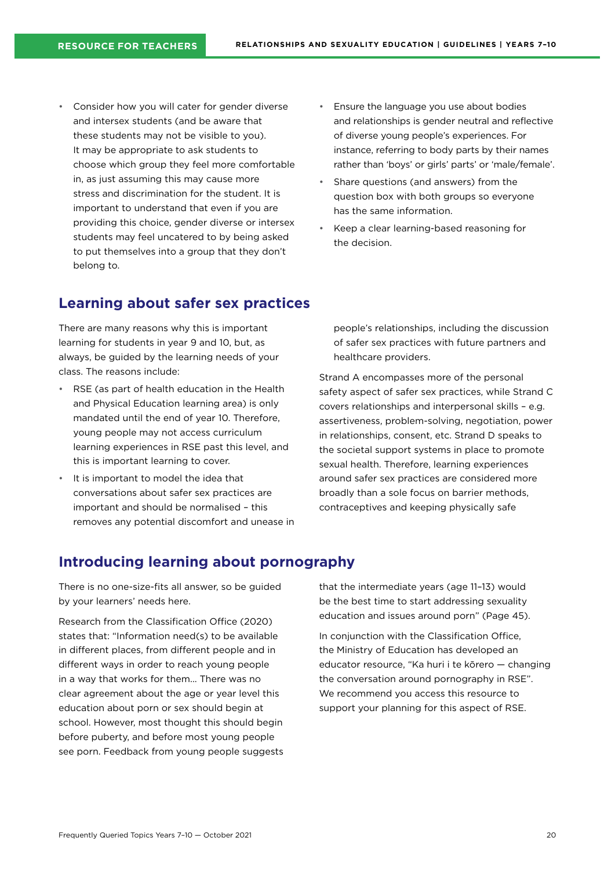- <span id="page-19-0"></span>• Consider how you will cater for gender diverse and intersex students (and be aware that these students may not be visible to you). It may be appropriate to ask students to choose which group they feel more comfortable in, as just assuming this may cause more stress and discrimination for the student. It is important to understand that even if you are providing this choice, gender diverse or intersex students may feel uncatered to by being asked to put themselves into a group that they don't belong to.
- Ensure the language you use about bodies and relationships is gender neutral and reflective of diverse young people's experiences. For instance, referring to body parts by their names rather than 'boys' or girls' parts' or 'male/female'.
- Share questions (and answers) from the question box with both groups so everyone has the same information.
- Keep a clear learning-based reasoning for the decision.

### **Learning about safer sex practices**

There are many reasons why this is important learning for students in year 9 and 10, but, as always, be guided by the learning needs of your class. The reasons include:

- RSE (as part of health education in the Health and Physical Education learning area) is only mandated until the end of year 10. Therefore, young people may not access curriculum learning experiences in RSE past this level, and this is important learning to cover.
- It is important to model the idea that conversations about safer sex practices are important and should be normalised – this removes any potential discomfort and unease in

people's relationships, including the discussion of safer sex practices with future partners and healthcare providers.

Strand A encompasses more of the personal safety aspect of safer sex practices, while Strand C covers relationships and interpersonal skills – e.g. assertiveness, problem-solving, negotiation, power in relationships, consent, etc. Strand D speaks to the societal support systems in place to promote sexual health. Therefore, learning experiences around safer sex practices are considered more broadly than a sole focus on barrier methods, contraceptives and keeping physically safe

## **Introducing learning about pornography**

There is no one-size-fits all answer, so be guided by your learners' needs here.

Research from the Classification Office (2020) states that: "Information need(s) to be available in different places, from different people and in different ways in order to reach young people in a way that works for them... There was no clear agreement about the age or year level this education about porn or sex should begin at school. However, most thought this should begin before puberty, and before most young people see porn. Feedback from young people suggests that the intermediate years (age 11–13) would be the best time to start addressing sexuality education and issues around porn" (Page 45).

In conjunction with the Classification Office, the Ministry of Education has developed an educator resource, "Ka huri i te kōrero — changing the conversation around pornography in RSE". We recommend you access this resource to support your planning for this aspect of RSE.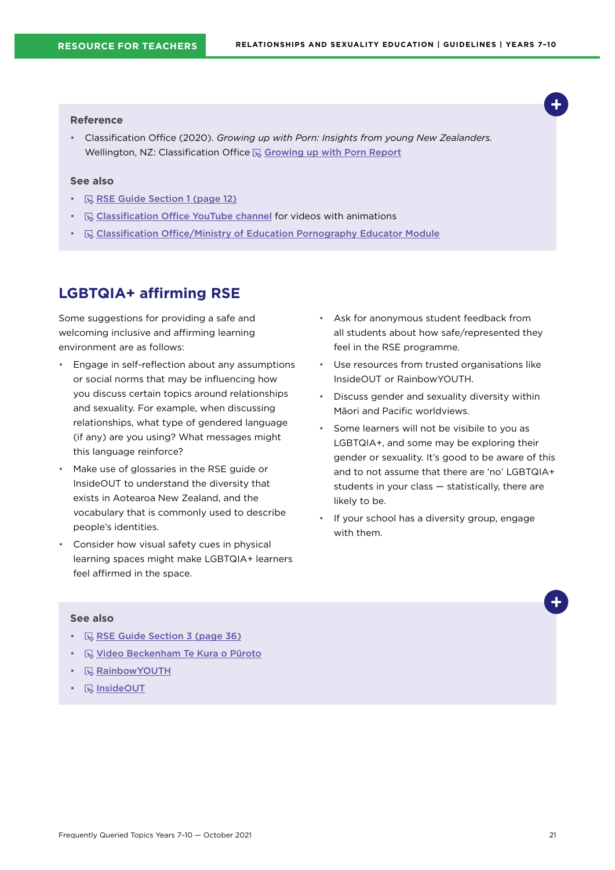#### <span id="page-20-0"></span>**Reference**

• Classification Office (2020). *Growing up with Porn: Insights from young New Zealanders.* Wellington, NZ: Classification Office  $\mathbb Q$  [Growing up with Porn Report](https://www.classificationoffice.govt.nz/assets/PDFs/Growing-Up-With-Porn-v2.pdf)

#### **See also**

- **RISE Guide Section 1 (page 12)**
- $\mathbb Q$  [Classification Office YouTube channel](https://www.youtube.com/channel/UC4FZc4ZmmjN-zwVGqXngaoA) for videos with animations
- **Exal [Classification Office/Ministry of Education Pornography Educator Module](https://hpe.tki.org.nz/professional-learning-support/understanding-the-resources-for-the-relationships-and-sexuality-education-guidelines/)**

## **LGBTQIA+ affirming RSE**

Some suggestions for providing a safe and welcoming inclusive and affirming learning environment are as follows:

- Engage in self-reflection about any assumptions or social norms that may be influencing how you discuss certain topics around relationships and sexuality. For example, when discussing relationships, what type of gendered language (if any) are you using? What messages might this language reinforce?
- Make use of glossaries in the RSE guide or InsideOUT to understand the diversity that exists in Aotearoa New Zealand, and the vocabulary that is commonly used to describe people's identities.
- Consider how visual safety cues in physical learning spaces might make LGBTQIA+ learners feel affirmed in the space.
- Ask for anonymous student feedback from all students about how safe/represented they feel in the RSE programme.
- Use resources from trusted organisations like InsideOUT or RainbowYOUTH.
- Discuss gender and sexuality diversity within Māori and Pacific worldviews.
- Some learners will not be visibile to you as LGBTQIA+, and some may be exploring their gender or sexuality. It's good to be aware of this and to not assume that there are 'no' LGBTQIA+ students in your class — statistically, there are likely to be.
- If your school has a diversity group, engage with them.

- $\mathbb R$  [RSE Guide Section 3 \(page 36\)](https://hpe.tki.org.nz/guidelines-and-policies/relationships-and-sexuality-education/)
- **R** [Video Beckenham Te Kura o Pūroto](https://hpe.tki.org.nz/planning-and-teaching-resources/resource-collections/relationships-and-sexuality-education-guidelines-resource-collection/school-case-studies/)
- **[RainbowYOUTH](https://ry.org.nz/)**
- **R** [InsideOUT](https://www.insideout.org.nz/)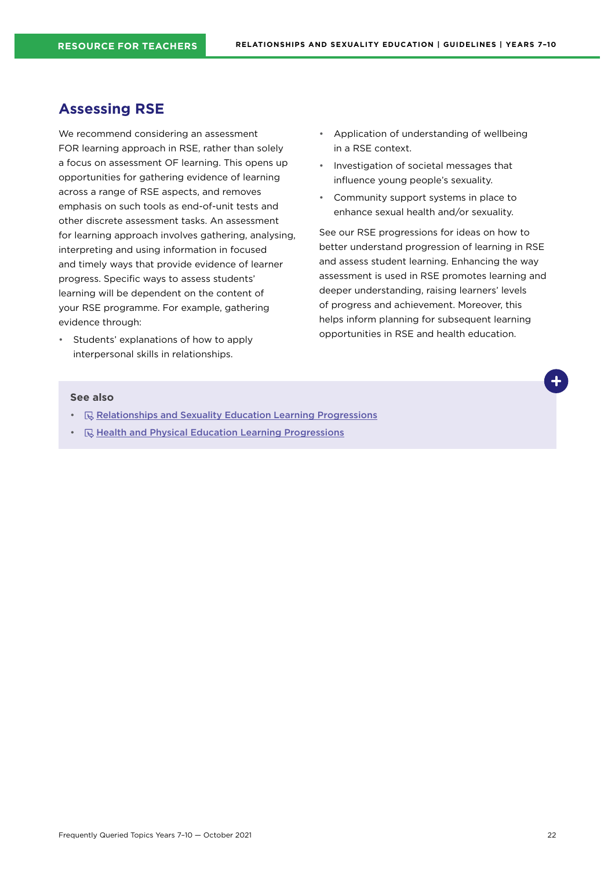## <span id="page-21-0"></span>**Assessing RSE**

We recommend considering an assessment FOR learning approach in RSE, rather than solely a focus on assessment OF learning. This opens up opportunities for gathering evidence of learning across a range of RSE aspects, and removes emphasis on such tools as end-of-unit tests and other discrete assessment tasks. An assessment for learning approach involves gathering, analysing, interpreting and using information in focused and timely ways that provide evidence of learner progress. Specific ways to assess students' learning will be dependent on the content of your RSE programme. For example, gathering evidence through:

• Students' explanations of how to apply interpersonal skills in relationships.

- Application of understanding of wellbeing in a RSE context.
- Investigation of societal messages that influence young people's sexuality.
- Community support systems in place to enhance sexual health and/or sexuality.

See our RSE progressions for ideas on how to better understand progression of learning in RSE and assess student learning. Enhancing the way assessment is used in RSE promotes learning and deeper understanding, raising learners' levels of progress and achievement. Moreover, this helps inform planning for subsequent learning opportunities in RSE and health education.

- **[Relationships and Sexuality Education Learning Progressions](https://hpe.tki.org.nz/planning-and-teaching-resources/resource-collections/relationships-and-sexuality-education-guidelines-resource-collection/)**
- $\mathbb Q$  [Health and Physical Education Learning Progressions](http://hpeprogressions.education.govt.nz/frameworks/healthandpe/index.aspx)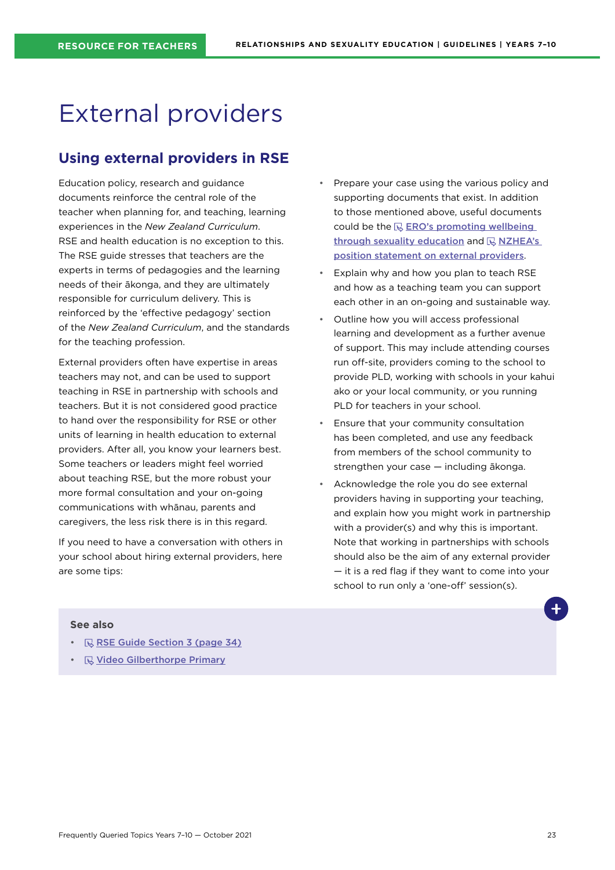## <span id="page-22-0"></span>External providers

## **Using external providers in RSE**

Education policy, research and guidance documents reinforce the central role of the teacher when planning for, and teaching, learning experiences in the *New Zealand Curriculum*. RSE and health education is no exception to this. The RSE guide stresses that teachers are the experts in terms of pedagogies and the learning needs of their ākonga, and they are ultimately responsible for curriculum delivery. This is reinforced by the 'effective pedagogy' section of the *New Zealand Curriculum*, and the standards for the teaching profession.

External providers often have expertise in areas teachers may not, and can be used to support teaching in RSE in partnership with schools and teachers. But it is not considered good practice to hand over the responsibility for RSE or other units of learning in health education to external providers. After all, you know your learners best. Some teachers or leaders might feel worried about teaching RSE, but the more robust your more formal consultation and your on-going communications with whānau, parents and caregivers, the less risk there is in this regard.

If you need to have a conversation with others in your school about hiring external providers, here are some tips:

- Prepare your case using the various policy and supporting documents that exist. In addition to those mentioned above, useful documents could be the  $\mathbb Q$  ERO's promoting wellbeing [through sexuality education](https://ero.govt.nz/our-research/promoting-wellbeing-through-sexuality-education) and  $\mathbb R$  NZHEA's [position statement on external providers](https://healtheducation.org.nz/wp-content/uploads/2018/11/5-nzhea-position-statement-external-providers.pdf).
- Explain why and how you plan to teach RSE and how as a teaching team you can support each other in an on-going and sustainable way.
- Outline how you will access professional learning and development as a further avenue of support. This may include attending courses run off-site, providers coming to the school to provide PLD, working with schools in your kahui ako or your local community, or you running PLD for teachers in your school.
- Ensure that your community consultation has been completed, and use any feedback from members of the school community to strengthen your case — including ākonga.
- Acknowledge the role you do see external providers having in supporting your teaching, and explain how you might work in partnership with a provider(s) and why this is important. Note that working in partnerships with schools should also be the aim of any external provider — it is a red flag if they want to come into your school to run only a 'one-off' session(s).

- $\mathbb R$  [RSE Guide Section 3 \(page 34\)](https://hpe.tki.org.nz/guidelines-and-policies/relationships-and-sexuality-education/)
- **[Video Gilberthorpe Primary](https://hpe.tki.org.nz/planning-and-teaching-resources/resource-collections/relationships-and-sexuality-education-guidelines-resource-collection/school-case-studies/)**